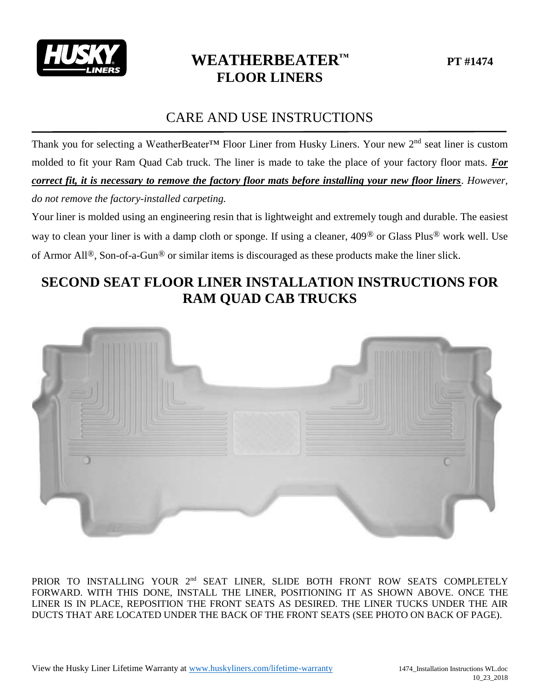

## **WEATHERBEATER™ PT #1474 FLOOR LINERS**

## CARE AND USE INSTRUCTIONS

Thank you for selecting a WeatherBeater<sup>™</sup> Floor Liner from Husky Liners. Your new 2<sup>nd</sup> seat liner is custom molded to fit your Ram Quad Cab truck. The liner is made to take the place of your factory floor mats. *For correct fit, it is necessary to remove the factory floor mats before installing your new floor liners*. *However, do not remove the factory-installed carpeting.*

Your liner is molded using an engineering resin that is lightweight and extremely tough and durable. The easiest way to clean your liner is with a damp cloth or sponge. If using a cleaner, 409® or Glass Plus® work well. Use of Armor All®, Son-of-a-Gun® or similar items is discouraged as these products make the liner slick.

## **SECOND SEAT FLOOR LINER INSTALLATION INSTRUCTIONS FOR RAM QUAD CAB TRUCKS**



PRIOR TO INSTALLING YOUR 2<sup>nd</sup> SEAT LINER, SLIDE BOTH FRONT ROW SEATS COMPLETELY FORWARD. WITH THIS DONE, INSTALL THE LINER, POSITIONING IT AS SHOWN ABOVE. ONCE THE LINER IS IN PLACE, REPOSITION THE FRONT SEATS AS DESIRED. THE LINER TUCKS UNDER THE AIR DUCTS THAT ARE LOCATED UNDER THE BACK OF THE FRONT SEATS (SEE PHOTO ON BACK OF PAGE).